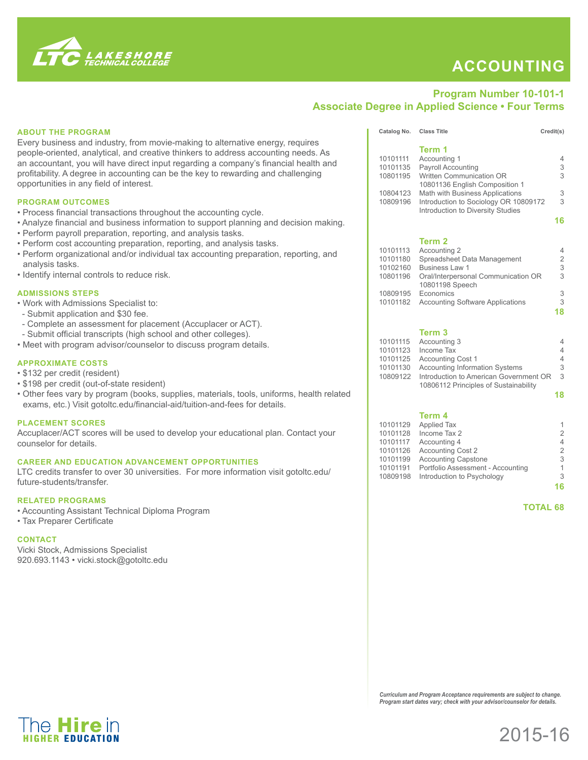

The **Hire** in

## **Accounting**

## **Program Number 10-101-1 Associate Degree in Applied Science • Four Terms**

| <b>ABOUT THE PROGRAM</b>                                                                  | Catalog No. Class Title                                                  |                                                                                          | Credit(s)           |
|-------------------------------------------------------------------------------------------|--------------------------------------------------------------------------|------------------------------------------------------------------------------------------|---------------------|
| Every business and industry, from movie-making to alternative energy, requires            |                                                                          |                                                                                          |                     |
| people-oriented, analytical, and creative thinkers to address accounting needs. As        |                                                                          | Term 1                                                                                   |                     |
| an accountant, you will have direct input regarding a company's financial health and      | 10101111                                                                 | Accounting 1                                                                             | 4                   |
| profitability. A degree in accounting can be the key to rewarding and challenging         | 10101135                                                                 | Payroll Accounting<br>10801195 Written Communication OR                                  | 3<br>3              |
| opportunities in any field of interest.                                                   |                                                                          | 10801136 English Composition 1                                                           |                     |
|                                                                                           | 10804123                                                                 | Math with Business Applications                                                          | 3                   |
| <b>PROGRAM OUTCOMES</b>                                                                   | 10809196                                                                 | Introduction to Sociology OR 10809172                                                    | 3                   |
| • Process financial transactions throughout the accounting cycle.                         |                                                                          | Introduction to Diversity Studies                                                        |                     |
| . Analyze financial and business information to support planning and decision making.     |                                                                          |                                                                                          | 16                  |
|                                                                                           |                                                                          |                                                                                          |                     |
| • Perform payroll preparation, reporting, and analysis tasks.                             |                                                                          | Term 2                                                                                   |                     |
| • Perform cost accounting preparation, reporting, and analysis tasks.                     | 10101113                                                                 | Accounting 2                                                                             | 4                   |
| • Perform organizational and/or individual tax accounting preparation, reporting, and     | 10101180                                                                 | Spreadsheet Data Management                                                              | $\overline{2}$      |
| analysis tasks.                                                                           |                                                                          | 10102160 Business Law 1                                                                  | 3                   |
| • Identify internal controls to reduce risk.                                              | 10801196                                                                 | Oral/Interpersonal Communication OR                                                      | 3                   |
|                                                                                           |                                                                          | 10801198 Speech                                                                          |                     |
| <b>ADMISSIONS STEPS</b>                                                                   |                                                                          | 10809195 Economics                                                                       | 3                   |
| . Work with Admissions Specialist to:                                                     |                                                                          | 10101182 Accounting Software Applications                                                | 3                   |
| - Submit application and \$30 fee.                                                        |                                                                          |                                                                                          | 18                  |
| - Complete an assessment for placement (Accuplacer or ACT).                               |                                                                          |                                                                                          |                     |
| - Submit official transcripts (high school and other colleges).                           |                                                                          | Term <sub>3</sub>                                                                        |                     |
| • Meet with program advisor/counselor to discuss program details.                         | 10101115                                                                 | Accounting 3                                                                             | 4                   |
|                                                                                           |                                                                          | 10101123    Income Tax                                                                   | $\overline{4}$      |
| <b>APPROXIMATE COSTS</b>                                                                  |                                                                          | 10101125 Accounting Cost 1                                                               | $\overline{4}$      |
| • \$132 per credit (resident)                                                             |                                                                          | 10101130 Accounting Information Systems                                                  | 3<br>3              |
| • \$198 per credit (out-of-state resident)                                                |                                                                          | 10809122 Introduction to American Government OR<br>10806112 Principles of Sustainability |                     |
| . Other fees vary by program (books, supplies, materials, tools, uniforms, health related |                                                                          |                                                                                          | 18                  |
| exams, etc.) Visit gotoltc.edu/financial-aid/tuition-and-fees for details.                |                                                                          |                                                                                          |                     |
|                                                                                           |                                                                          |                                                                                          |                     |
| <b>PLACEMENT SCORES</b>                                                                   |                                                                          | Term 4                                                                                   |                     |
| Accuplacer/ACT scores will be used to develop your educational plan. Contact your         | 10101129                                                                 | <b>Applied Tax</b>                                                                       | 1<br>$\overline{2}$ |
| counselor for details.                                                                    | 10101128<br>10101117                                                     | Income Tax 2<br>Accounting 4                                                             | $\overline{4}$      |
|                                                                                           | 10101126                                                                 | <b>Accounting Cost 2</b>                                                                 | $\overline{2}$      |
| <b>CAREER AND EDUCATION ADVANCEMENT OPPORTUNITIES</b>                                     | 10101199                                                                 | <b>Accounting Capstone</b>                                                               | 3                   |
| LTC credits transfer to over 30 universities. For more information visit gotoltc.edu/     | 10101191                                                                 | Portfolio Assessment - Accounting                                                        | $\mathbf{1}$        |
| future-students/transfer.                                                                 | 10809198                                                                 | Introduction to Psychology                                                               | 3                   |
|                                                                                           |                                                                          |                                                                                          | 16                  |
| <b>RELATED PROGRAMS</b>                                                                   |                                                                          |                                                                                          |                     |
| • Accounting Assistant Technical Diploma Program                                          |                                                                          |                                                                                          | <b>TOTAL 68</b>     |
| • Tax Preparer Certificate                                                                |                                                                          |                                                                                          |                     |
|                                                                                           |                                                                          |                                                                                          |                     |
| <b>CONTACT</b>                                                                            |                                                                          |                                                                                          |                     |
| Vicki Stock, Admissions Specialist                                                        |                                                                          |                                                                                          |                     |
| 920.693.1143 · vicki.stock@gotoltc.edu                                                    |                                                                          |                                                                                          |                     |
|                                                                                           |                                                                          |                                                                                          |                     |
|                                                                                           |                                                                          |                                                                                          |                     |
|                                                                                           |                                                                          |                                                                                          |                     |
|                                                                                           |                                                                          |                                                                                          |                     |
|                                                                                           |                                                                          |                                                                                          |                     |
|                                                                                           |                                                                          |                                                                                          |                     |
|                                                                                           |                                                                          |                                                                                          |                     |
|                                                                                           |                                                                          |                                                                                          |                     |
|                                                                                           |                                                                          |                                                                                          |                     |
|                                                                                           |                                                                          |                                                                                          |                     |
|                                                                                           |                                                                          |                                                                                          |                     |
|                                                                                           |                                                                          |                                                                                          |                     |
|                                                                                           |                                                                          |                                                                                          |                     |
|                                                                                           |                                                                          | Curriculum and Program Acceptance requirements are subject to change.                    |                     |
|                                                                                           | Program start dates vary; check with your advisor/counselor for details. |                                                                                          |                     |